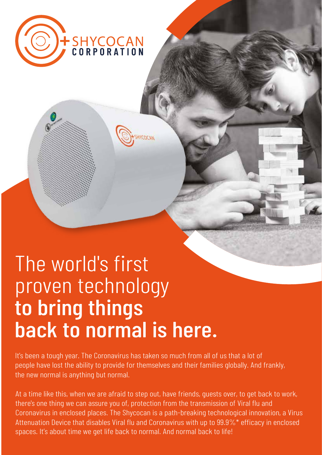

## The world's first proven technology to bring things back to normal is here.

It's been a tough year. The Coronavirus has taken so much from all of us that a lot of people have lost the ability to provide for themselves and their families globally. And frankly, the new normal is anything but normal.

Attenuation Device that disables Viral flu and Coronavirus with up to  $99.9\%$ <sup>\*</sup> efficacy in enclosed spaces. It's about time we get life back to normal. And normal back to life! At a time like this, when we are afraid to step out, have friends, guests over, to get back to work, there's one thing we can assure you of, protection from the transmission of Viral flu and Coronavirus in enclosed places. The Shycocan is a path-breaking technological innovation, a Virus